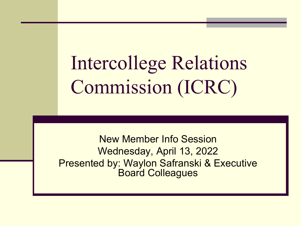Intercollege Relations Commission (ICRC)

New Member Info Session Wednesday, April 13, 2022 Presented by: Waylon Safranski & Executive Board Colleagues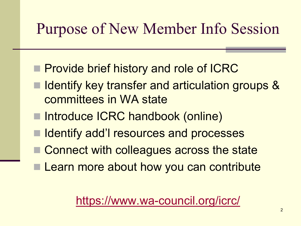### Purpose of New Member Info Session

- **Provide brief history and role of ICRC**
- Identify key transfer and articulation groups & committees in WA state
- Introduce ICRC handbook (online)
- Identify add'I resources and processes
- Connect with colleagues across the state
- Learn more about how you can contribute

### <https://www.wa-council.org/icrc/>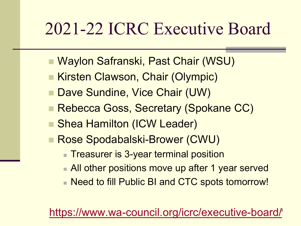## 2021-22 ICRC Executive Board

- Waylon Safranski, Past Chair (WSU)
- Kirsten Clawson, Chair (Olympic)
- Dave Sundine, Vice Chair (UW)
- **Rebecca Goss, Secretary (Spokane CC)**
- **Shea Hamilton (ICW Leader)**
- Rose Spodabalski-Brower (CWU)
	- **Treasurer is 3-year terminal position**
	- **All other positions move up after 1 year served**
	- Need to fill Public BI and CTC spots tomorrow!

### <https://www.wa-council.org/icrc/executive-board/>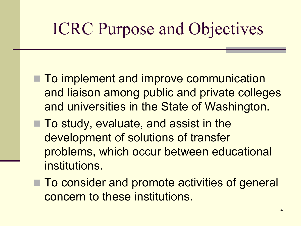# ICRC Purpose and Objectives

- **To implement and improve communication** and liaison among public and private colleges and universities in the State of Washington.
- To study, evaluate, and assist in the development of solutions of transfer problems, which occur between educational institutions.
- To consider and promote activities of general concern to these institutions.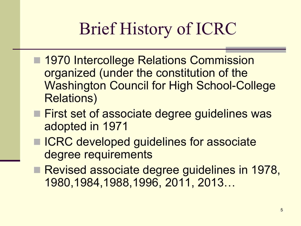# Brief History of ICRC

- 1970 Intercollege Relations Commission organized (under the constitution of the Washington Council for High School-College Relations)
- **First set of associate degree guidelines was** adopted in 1971
- ICRC developed guidelines for associate degree requirements
- Revised associate degree guidelines in 1978, 1980,1984,1988,1996, 2011, 2013…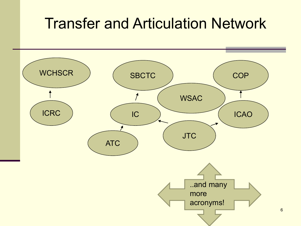### Transfer and Articulation Network

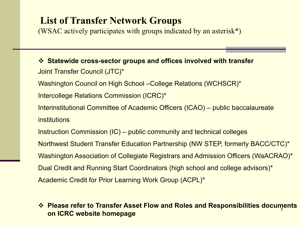### **List of Transfer Network Groups**

(WSAC actively participates with groups indicated by an asterisk\*)

 **Statewide cross-sector groups and offices involved with transfer**  Joint Transfer Council (JTC)\* Washington Council on High School –College Relations (WCHSCR)\* Intercollege Relations Commission (ICRC)\* Interinstitutional Committee of Academic Officers (ICAO) – public baccalaureate institutions Instruction Commission (IC) – public community and technical colleges Northwest Student Transfer Education Partnership (NW STEP, formerly BACC/CTC)\* Washington Association of Collegiate Registrars and Admission Officers (WaACRAO)\* Dual Credit and Running Start Coordinators (high school and college advisors)\* Academic Credit for Prior Learning Work Group (ACPL)\*

#### 7 **Please refer to Transfer Asset Flow and Roles and Responsibilities documents on ICRC website homepage**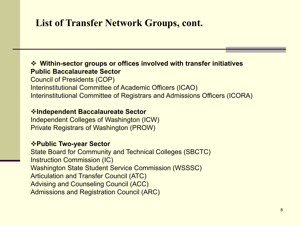### **List of Transfer Network Groups, cont.**

### **Within-sector groups or offices involved with transfer initiatives Public Baccalaureate Sector**

Council of Presidents (COP) Interinstitutional Committee of Academic Officers (ICAO) Interinstitutional Committee of Registrars and Admissions Officers (ICORA)

### **Independent Baccalaureate Sector**

Independent Colleges of Washington (ICW) Private Registrars of Washington (PROW)

### **Public Two-year Sector**

State Board for Community and Technical Colleges (SBCTC) Instruction Commission (IC) Washington State Student Service Commission (WSSSC) Articulation and Transfer Council (ATC) Advising and Counseling Council (ACC) Admissions and Registration Council (ARC)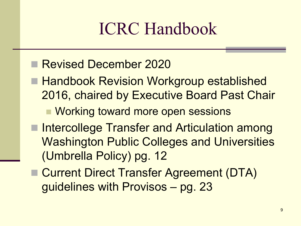# ICRC Handbook

### Revised December 2020

- Handbook Revision Workgroup established 2016, chaired by Executive Board Past Chair
	- Working toward more open sessions
- Intercollege Transfer and Articulation among Washington Public Colleges and Universities (Umbrella Policy) pg. 12
- Current Direct Transfer Agreement (DTA) guidelines with Provisos – pg. 23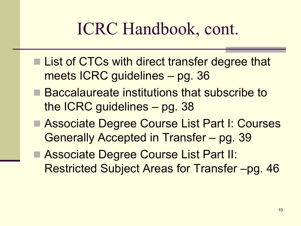## ICRC Handbook, cont.

- **List of CTCs with direct transfer degree that** meets ICRC guidelines – pg. 36
- Baccalaureate institutions that subscribe to the ICRC guidelines – pg. 38
- Associate Degree Course List Part I: Courses Generally Accepted in Transfer – pg. 39

■ Associate Degree Course List Part II: Restricted Subject Areas for Transfer –pg. 46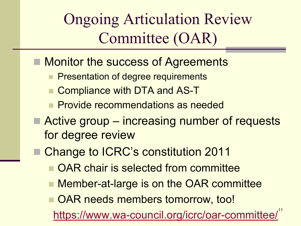Ongoing Articulation Review Committee (OAR)

- Monitor the success of Agreements
	- **Presentation of degree requirements**
	- Compliance with DTA and AS-T
	- Provide recommendations as needed
- Active group increasing number of requests for degree review
	- Change to ICRC's constitution 2011
		- OAR chair is selected from committee
		- Member-at-large is on the OAR committee
		- OAR needs members tomorrow, too!

<https://www.wa-council.org/icrc/oar-committee/><sup>11</sup>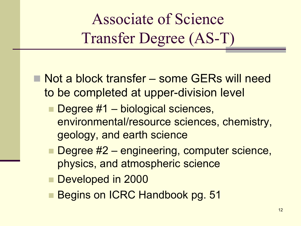Associate of Science Transfer Degree (AS-T)

- Not a block transfer some GERs will need to be completed at upper-division level
	- Degree #1 biological sciences, environmental/resource sciences, chemistry, geology, and earth science
	- Degree #2 engineering, computer science, physics, and atmospheric science
	- Developed in 2000
	- Begins on ICRC Handbook pg. 51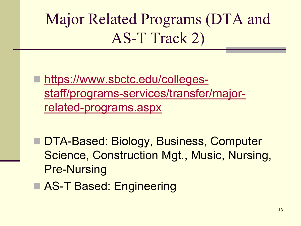Major Related Programs (DTA and AS-T Track 2)

 https://www.sbctc.edu/colleges[staff/programs-services/transfer/major](https://www.sbctc.edu/colleges-staff/programs-services/transfer/major-related-programs.aspx)related-programs.aspx

■ DTA-Based: Biology, Business, Computer Science, Construction Mgt., Music, Nursing, Pre-Nursing

**AS-T Based: Engineering**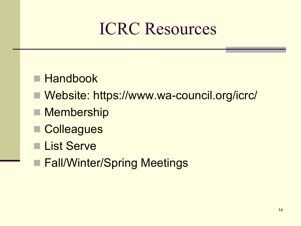## ICRC Resources

- **Handbook**
- Website: https://www.wa-council.org/icrc/
- **Membership**
- **Colleagues**
- **List Serve**
- **Fall/Winter/Spring Meetings**